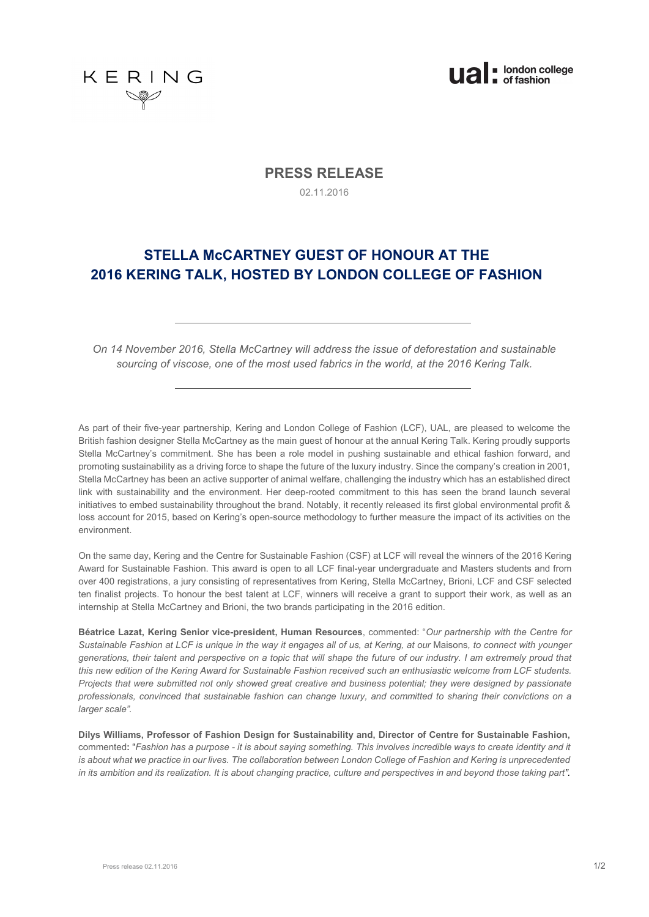



# **PRESS RELEASE**

02.11.2016

# **STELLA McCARTNEY GUEST OF HONOUR AT THE 2016 KERING TALK, HOSTED BY LONDON COLLEGE OF FASHION**

*On 14 November 2016, Stella McCartney will address the issue of deforestation and sustainable sourcing of viscose, one of the most used fabrics in the world, at the 2016 Kering Talk.* 

As part of their five-year partnership, Kering and London College of Fashion (LCF), UAL, are pleased to welcome the British fashion designer Stella McCartney as the main guest of honour at the annual Kering Talk. Kering proudly supports Stella McCartney's commitment. She has been a role model in pushing sustainable and ethical fashion forward, and promoting sustainability as a driving force to shape the future of the luxury industry. Since the company's creation in 2001, Stella McCartney has been an active supporter of animal welfare, challenging the industry which has an established direct link with sustainability and the environment. Her deep-rooted commitment to this has seen the brand launch several initiatives to embed sustainability throughout the brand. Notably, it recently released its first global environmental profit & loss account for 2015, based on Kering's open-source methodology to further measure the impact of its activities on the environment.

On the same day, Kering and the Centre for Sustainable Fashion (CSF) at LCF will reveal the winners of the 2016 Kering Award for Sustainable Fashion. This award is open to all LCF final-year undergraduate and Masters students and from over 400 registrations, a jury consisting of representatives from Kering, Stella McCartney, Brioni, LCF and CSF selected ten finalist projects. To honour the best talent at LCF, winners will receive a grant to support their work, as well as an internship at Stella McCartney and Brioni, the two brands participating in the 2016 edition.

**Béatrice Lazat, Kering Senior vice-president, Human Resources**, commented: "*Our partnership with the Centre for Sustainable Fashion at LCF is unique in the way it engages all of us, at Kering, at our* Maisons*, to connect with younger generations, their talent and perspective on a topic that will shape the future of our industry. I am extremely proud that this new edition of the Kering Award for Sustainable Fashion received such an enthusiastic welcome from LCF students. Projects that were submitted not only showed great creative and business potential; they were designed by passionate professionals, convinced that sustainable fashion can change luxury, and committed to sharing their convictions on a larger scale".* 

**Dilys Williams, Professor of Fashion Design for Sustainability and, Director of Centre for Sustainable Fashion,**  commented**:** "*Fashion has a purpose - it is about saying something. This involves incredible ways to create identity and it is about what we practice in our lives. The collaboration between London College of Fashion and Kering is unprecedented in its ambition and its realization. It is about changing practice, culture and perspectives in and beyond those taking part".*